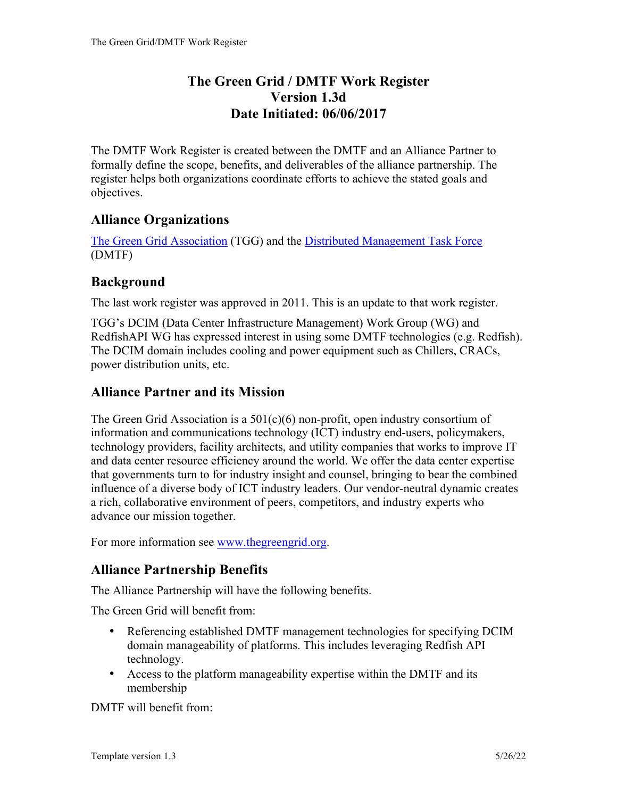### **The Green Grid / DMTF Work Register Version 1.3d Date Initiated: 06/06/2017**

The DMTF Work Register is created between the DMTF and an Alliance Partner to formally define the scope, benefits, and deliverables of the alliance partnership. The register helps both organizations coordinate efforts to achieve the stated goals and objectives.

### **Alliance Organizations**

The Green Grid Association (TGG) and the Distributed Management Task Force (DMTF)

### **Background**

The last work register was approved in 2011. This is an update to that work register.

TGG's DCIM (Data Center Infrastructure Management) Work Group (WG) and RedfishAPI WG has expressed interest in using some DMTF technologies (e.g. Redfish). The DCIM domain includes cooling and power equipment such as Chillers, CRACs, power distribution units, etc.

### **Alliance Partner and its Mission**

The Green Grid Association is a  $501(c)(6)$  non-profit, open industry consortium of information and communications technology (ICT) industry end-users, policymakers, technology providers, facility architects, and utility companies that works to improve IT and data center resource efficiency around the world. We offer the data center expertise that governments turn to for industry insight and counsel, bringing to bear the combined influence of a diverse body of ICT industry leaders. Our vendor-neutral dynamic creates a rich, collaborative environment of peers, competitors, and industry experts who advance our mission together.

For more information see www.thegreengrid.org.

# **Alliance Partnership Benefits**

The Alliance Partnership will have the following benefits.

The Green Grid will benefit from:

- Referencing established DMTF management technologies for specifying DCIM domain manageability of platforms. This includes leveraging Redfish API technology.
- Access to the platform manageability expertise within the DMTF and its membership

DMTF will benefit from: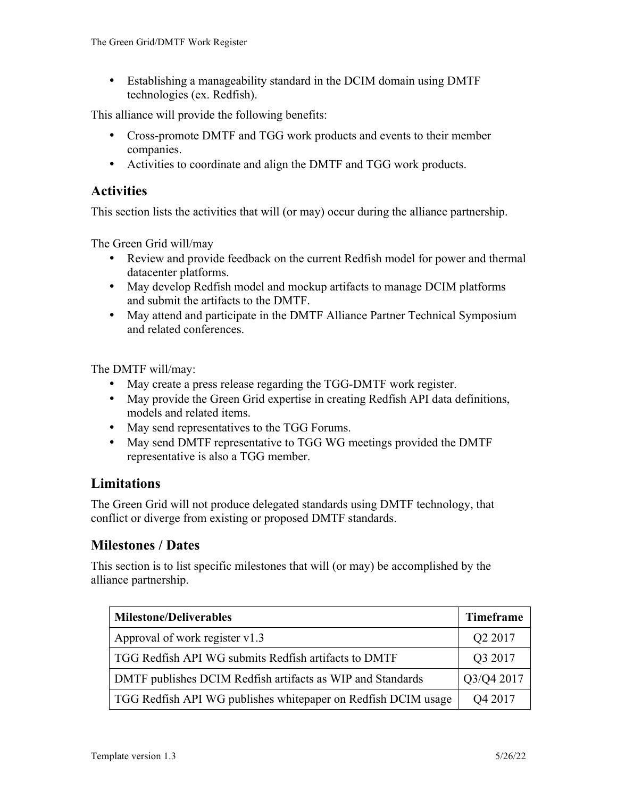• Establishing a manageability standard in the DCIM domain using DMTF technologies (ex. Redfish).

This alliance will provide the following benefits:

- Cross-promote DMTF and TGG work products and events to their member companies.
- Activities to coordinate and align the DMTF and TGG work products.

### **Activities**

This section lists the activities that will (or may) occur during the alliance partnership.

The Green Grid will/may

- Review and provide feedback on the current Redfish model for power and thermal datacenter platforms.
- May develop Redfish model and mockup artifacts to manage DCIM platforms and submit the artifacts to the DMTF.
- May attend and participate in the DMTF Alliance Partner Technical Symposium and related conferences.

The DMTF will/may:

- May create a press release regarding the TGG-DMTF work register.
- May provide the Green Grid expertise in creating Redfish API data definitions, models and related items.
- May send representatives to the TGG Forums.
- May send DMTF representative to TGG WG meetings provided the DMTF representative is also a TGG member.

### **Limitations**

The Green Grid will not produce delegated standards using DMTF technology, that conflict or diverge from existing or proposed DMTF standards.

### **Milestones / Dates**

This section is to list specific milestones that will (or may) be accomplished by the alliance partnership.

| <b>Milestone/Deliverables</b>                                  | <b>Timeframe</b>    |
|----------------------------------------------------------------|---------------------|
| Approval of work register v1.3                                 | Q <sub>2</sub> 2017 |
| TGG Redfish API WG submits Redfish artifacts to DMTF           | Q3 2017             |
| DMTF publishes DCIM Redfish artifacts as WIP and Standards     | Q3/Q4 2017          |
| TGG Redfish API WG publishes white paper on Redfish DCIM usage | Q4 2017             |